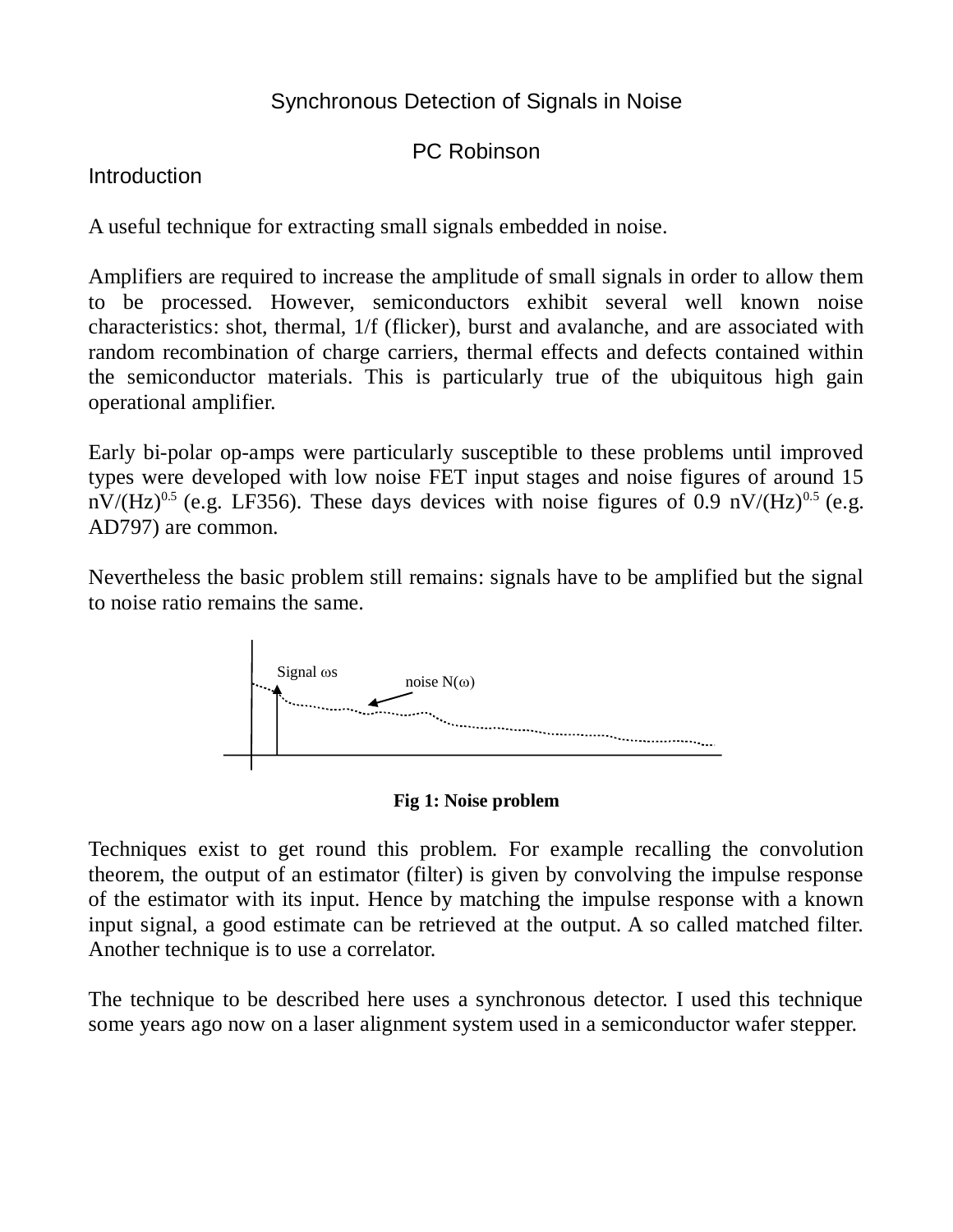## Synchronous Detection of Signals in Noise

PC Robinson

**Introduction** 

A useful technique for extracting small signals embedded in noise.

Amplifiers are required to increase the amplitude of small signals in order to allow them to be processed. However, semiconductors exhibit several well known noise characteristics: shot, thermal, 1/f (flicker), burst and avalanche, and are associated with random recombination of charge carriers, thermal effects and defects contained within the semiconductor materials. This is particularly true of the ubiquitous high gain operational amplifier.

Early bi-polar op-amps were particularly susceptible to these problems until improved types were developed with low noise FET input stages and noise figures of around 15  $nV/(Hz)^{0.5}$  (e.g. LF356). These days devices with noise figures of 0.9  $nV/(Hz)^{0.5}$  (e.g. AD797) are common.

Nevertheless the basic problem still remains: signals have to be amplified but the signal to noise ratio remains the same.





Techniques exist to get round this problem. For example recalling the convolution theorem, the output of an estimator (filter) is given by convolving the impulse response of the estimator with its input. Hence by matching the impulse response with a known input signal, a good estimate can be retrieved at the output. A so called matched filter. Another technique is to use a correlator.

The technique to be described here uses a synchronous detector. I used this technique some years ago now on a laser alignment system used in a semiconductor wafer stepper.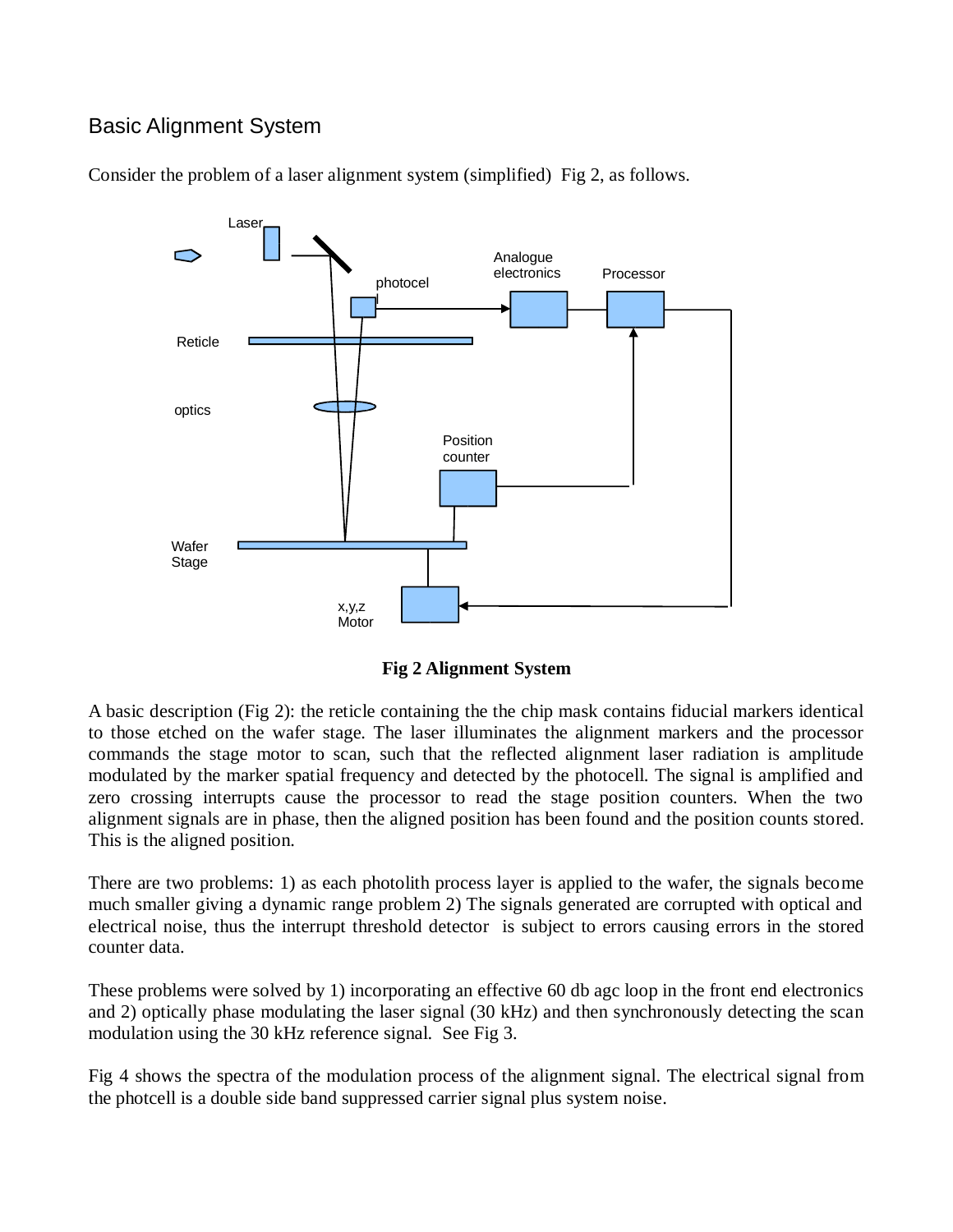## Basic Alignment System





**Fig 2 Alignment System**

A basic description (Fig 2): the reticle containing the the chip mask contains fiducial markers identical to those etched on the wafer stage. The laser illuminates the alignment markers and the processor commands the stage motor to scan, such that the reflected alignment laser radiation is amplitude modulated by the marker spatial frequency and detected by the photocell. The signal is amplified and zero crossing interrupts cause the processor to read the stage position counters. When the two alignment signals are in phase, then the aligned position has been found and the position counts stored. This is the aligned position.

There are two problems: 1) as each photolith process layer is applied to the wafer, the signals become much smaller giving a dynamic range problem 2) The signals generated are corrupted with optical and electrical noise, thus the interrupt threshold detector is subject to errors causing errors in the stored counter data.

These problems were solved by 1) incorporating an effective 60 db agc loop in the front end electronics and 2) optically phase modulating the laser signal (30 kHz) and then synchronously detecting the scan modulation using the 30 kHz reference signal. See Fig 3.

Fig 4 shows the spectra of the modulation process of the alignment signal. The electrical signal from the photcell is a double side band suppressed carrier signal plus system noise.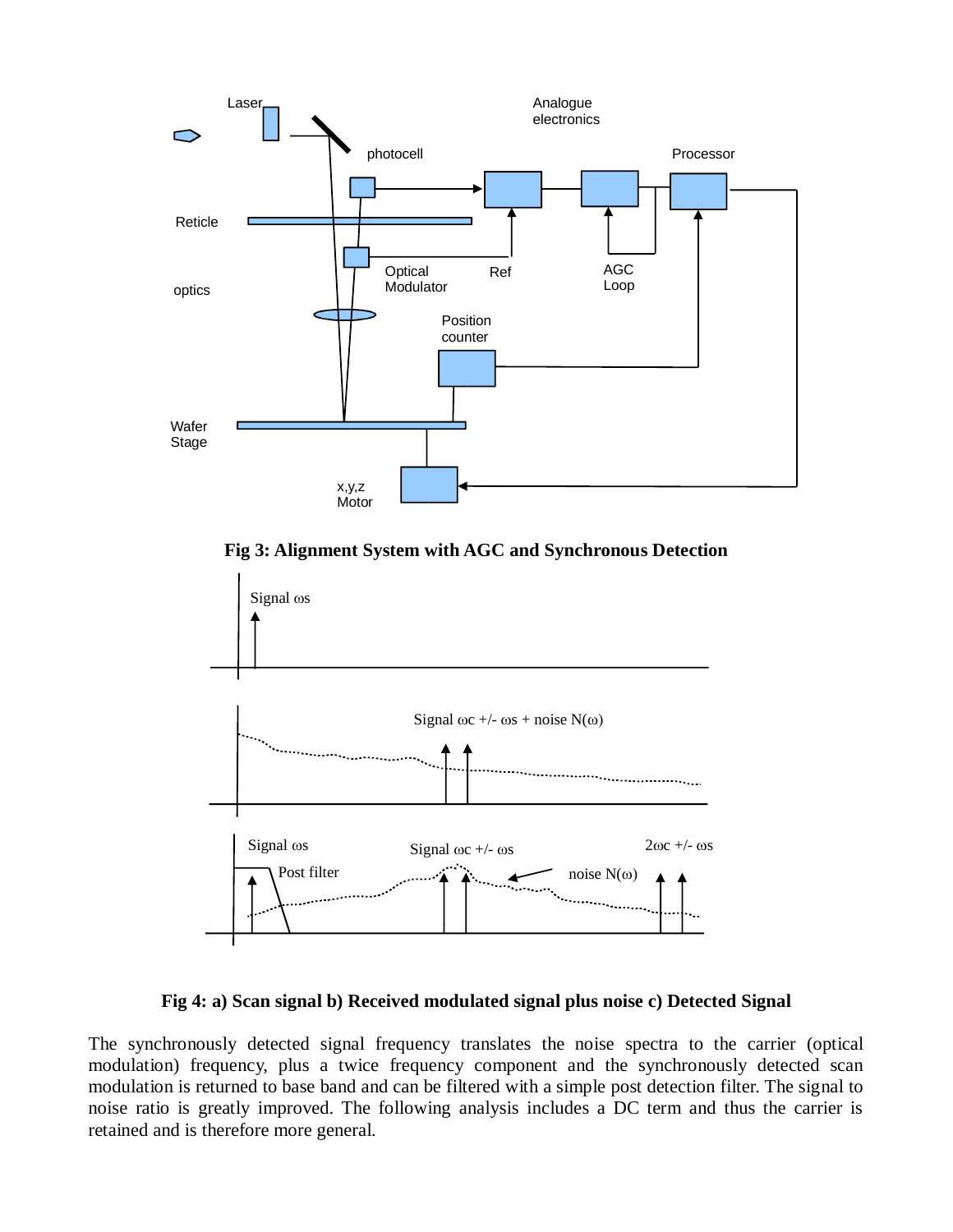

**Fig 3: Alignment System with AGC and Synchronous Detection**



**Fig 4: a) Scan signal b) Received modulated signal plus noise c) Detected Signal**

The synchronously detected signal frequency translates the noise spectra to the carrier (optical modulation) frequency, plus a twice frequency component and the synchronously detected scan modulation is returned to base band and can be filtered with a simple post detection filter. The signal to noise ratio is greatly improved. The following analysis includes a DC term and thus the carrier is retained and is therefore more general.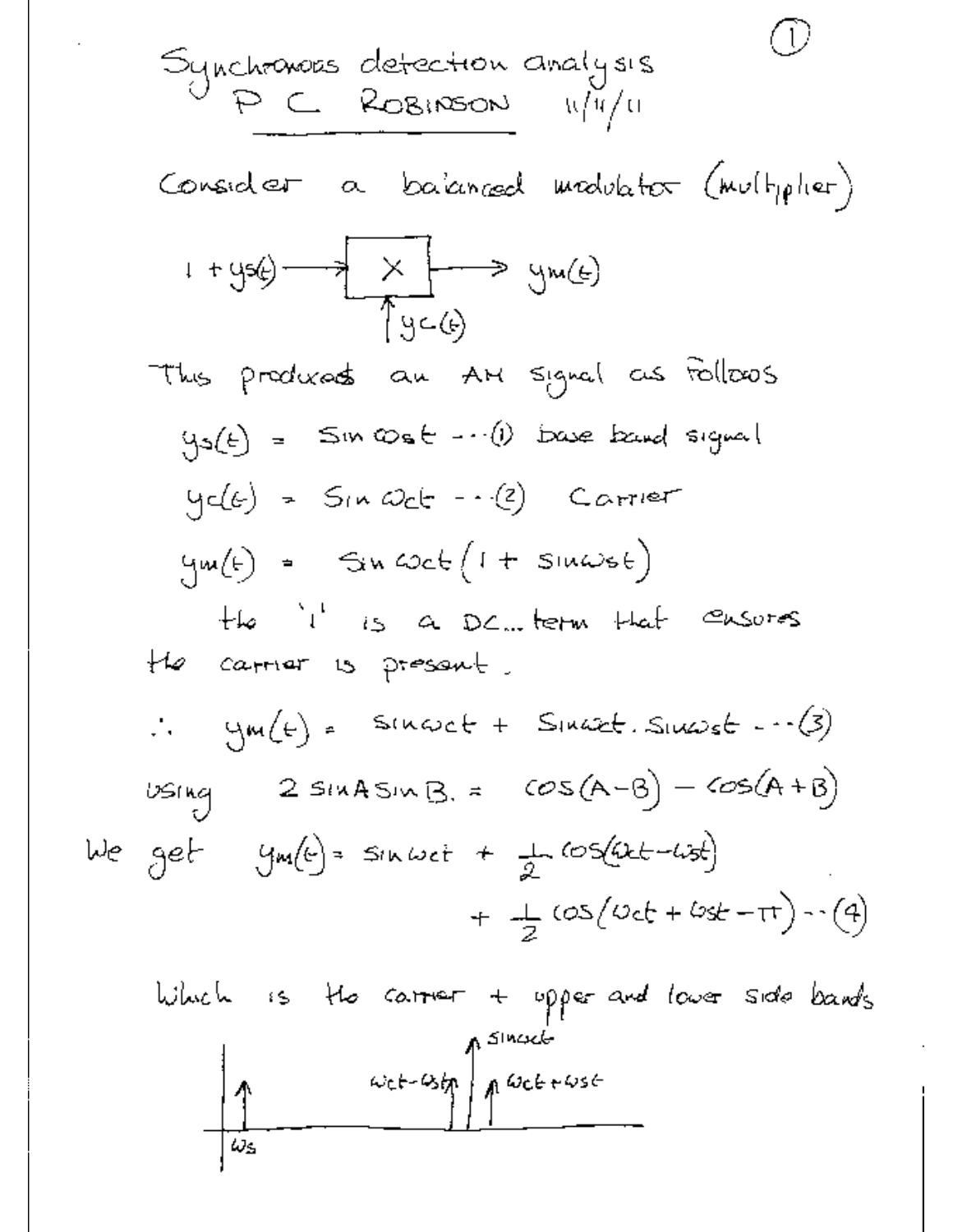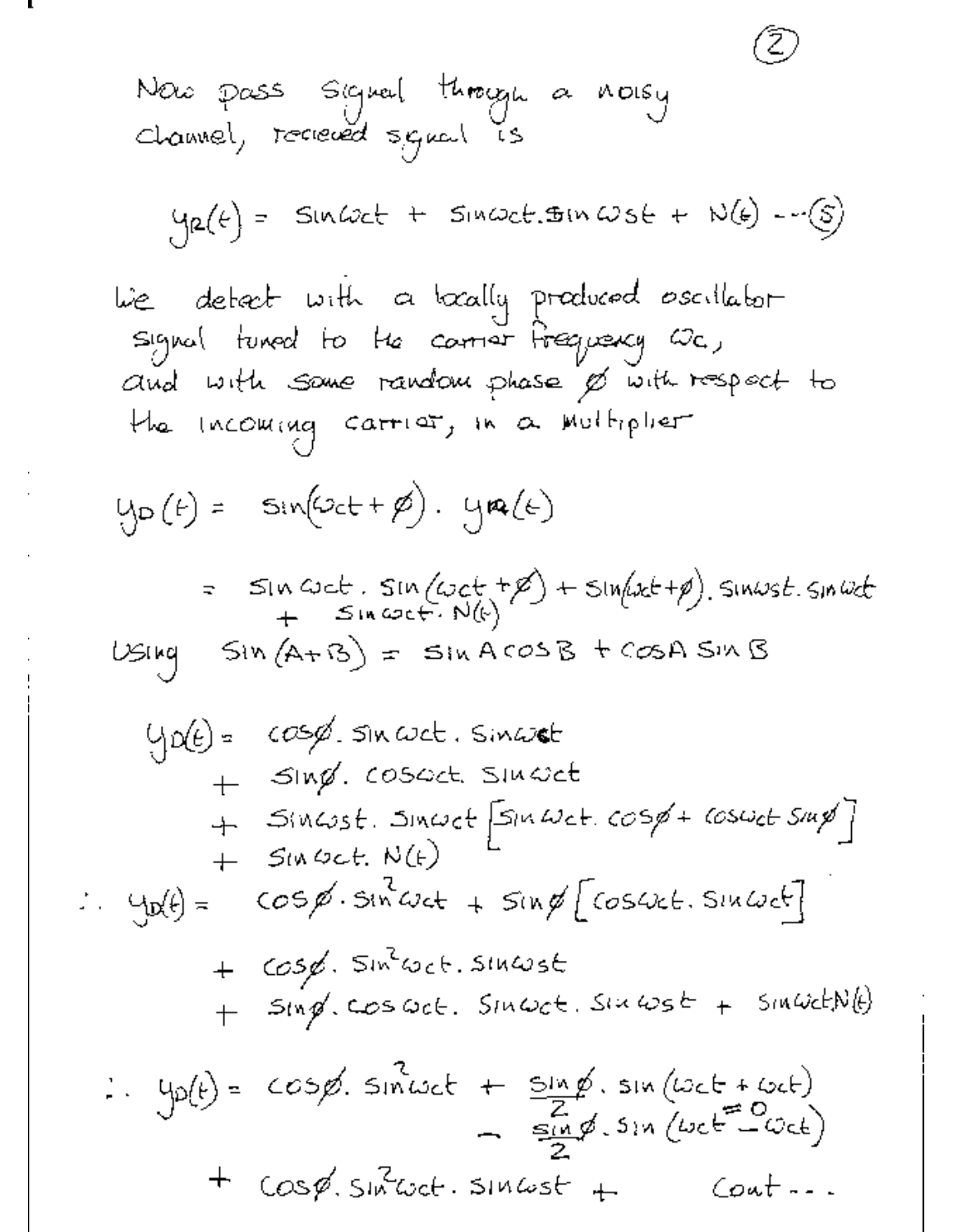Now pass Siqueal through a noisy  
Channel, received signal is  
\n
$$
y_{\alpha}(t) = \sin(\omega t + \sin\omega t \cdot \sin\omega s + N(t) - \cdots)
$$
\n
$$
y_{\alpha}(t) = \sin(\omega t + \sin\omega t \cdot \sin\omega s + N(t) - \cdots)
$$
\n
$$
y_{\alpha}(t) = \sin(\omega t + \sin\omega t \cdot \sin\omega s + N(t) - \cdots)
$$
\n
$$
y_{\alpha}(t) = \sin(\omega t + \sin\omega t \cdot \sin\omega t \cdot \cos\omega t + \cos(\omega t + \sin\omega t \cdot \sin\omega t \cdot \sin\omega t \cdot \sin\omega t \cdot \sin\omega t \cdot \sin\omega t \cdot \sin\omega t \cdot \sin\omega t \cdot \sin\omega t \cdot \sin\omega t \cdot \sin\omega t \cdot \sin\omega t \cdot \sin\omega t \cdot \sin\omega t \cdot \sin\omega t \cdot \sin\omega t \cdot \cos\omega t \cdot \sin\omega t \cdot \sin\omega t \cdot \cos\omega t \cdot \sin\omega t \cdot \sin\omega t \cdot \sin\omega t \cdot \cos\omega t \cdot \cos\omega t \cdot \sin\omega t \cdot \sin\omega t \cdot \sin\omega t \cdot \cos\omega t \cdot \sin\omega t \cdot \sin\omega t \cdot \sin\omega t \cdot \cos\omega t \cdot \sin\omega t \cdot \sin\omega t \cdot \cos\omega t \cdot \sin\omega t \cdot \sin\omega t \cdot \cos\omega t \cdot \sin\omega t \cdot \sin\omega t \cdot \cos\omega t \cdot \sin\omega t \cdot \cos\omega t \cdot \sin\omega t \cdot \cos\omega t \cdot \sin\omega t \cdot \cos\omega t \cdot \sin\omega t \cdot \cos\omega t \cdot \sin\omega t \cdot \cos\omega t \cdot \sin\omega t \cdot \cos\omega t \cdot \sin\omega t \cdot \cos\omega t \cdot \sin\omega t \cdot \cos\omega t \cdot \sin\omega t \cdot \cos\omega t \cdot \sin\omega t \cdot \cos\omega t \cdot \sin\omega t \cdot \cos\omega t \cdot \sin\omega t \cdot \cos\omega t \cdot \sin\omega t \cdot \cos\omega t \cdot \sin\omega t \cdot \cos\omega t \cdot \sin\omega t \cdot \cos\omega t \cdot \sin\omega t \cdot \cos\omega t \cdot \sin\omega t \cdot \cos\omega t \cdot \sin\omega t \cdot \cos\omega t \cdot \sin\omega t \cdot \cos\omega t \cdot \cos\omega t \cdot \sin
$$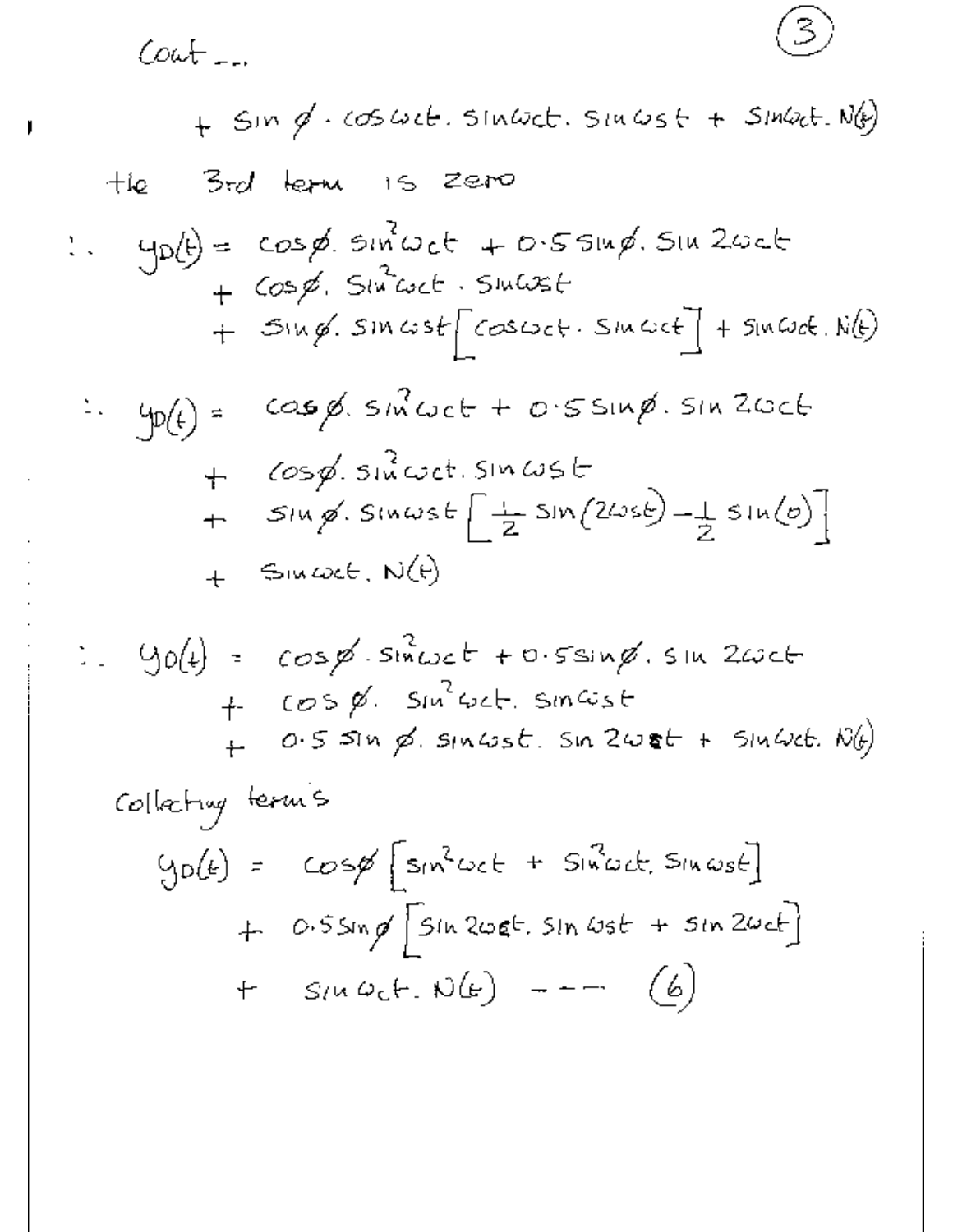$Cott$ 

 $+$  SIM  $\cancel{q}$ . (OSWEL. SINWEL. SINWSF + SINWEL. N(b) 3rd letu 15 zero  $+i\mathbf{e}$  $\therefore$  yobe cosp. since + 0.5514p. SIN 2006  $+$  Cosp. Street. Statest  $+$  SIM  $\emptyset$ . SIM  $\omega$ st  $\left\lceil \cos \omega_c t \right\rceil$ . SIM  $\omega_c t$   $\left\lceil \frac{1}{2} + \sin \omega_c t \right\rceil$ .  $N(t)$  $cos \phi$ ,  $sin \omega$ ct +  $0.5 sin \phi$ .  $sin 2\omega$ ct  $\therefore \quad \varphi(\epsilon) =$  $+$   $\cos\phi$ , since t. Sincest  $+$  Sing. Sinwst  $\left[\frac{1}{2}$  Sin $(2\omega s\epsilon)-\frac{1}{2}$  Sin $(\omega)\right]$  $+$  SIMCOCE, N(F)

$$
= 90(4) = cos\cancel{\cancel{\theta}} \cdot sin\omega_c t + 0.5sin\cancel{\cancel{\theta}} \cdot sin 2\omega_c t
$$
  
+ cos\cancel{\cancel{\theta}} \cdot sin^2\omega\_c t. sin\omega\_s t  
+ 0.5 sin\cancel{\cancel{\theta}} \cdot sin\omega\_s t. sin 2\omega t + sin\omega\_c t. N(\cancel{\theta})

Collecting terms

\n
$$
y_{0}(t) = \cos\phi \left[ \sin^{2}\omega c t + \sin^{2}\omega c t, \sin\omega s t \right]
$$
\n
$$
+ 0.5 \sin\phi \left[ \sin 2\omega t t, \sin \omega s t + \sin 2\omega c t \right]
$$
\n
$$
+ 0.5 \sin\phi \left[ \sin 2\omega t t, \sin \omega s t + \sin 2\omega c t \right]
$$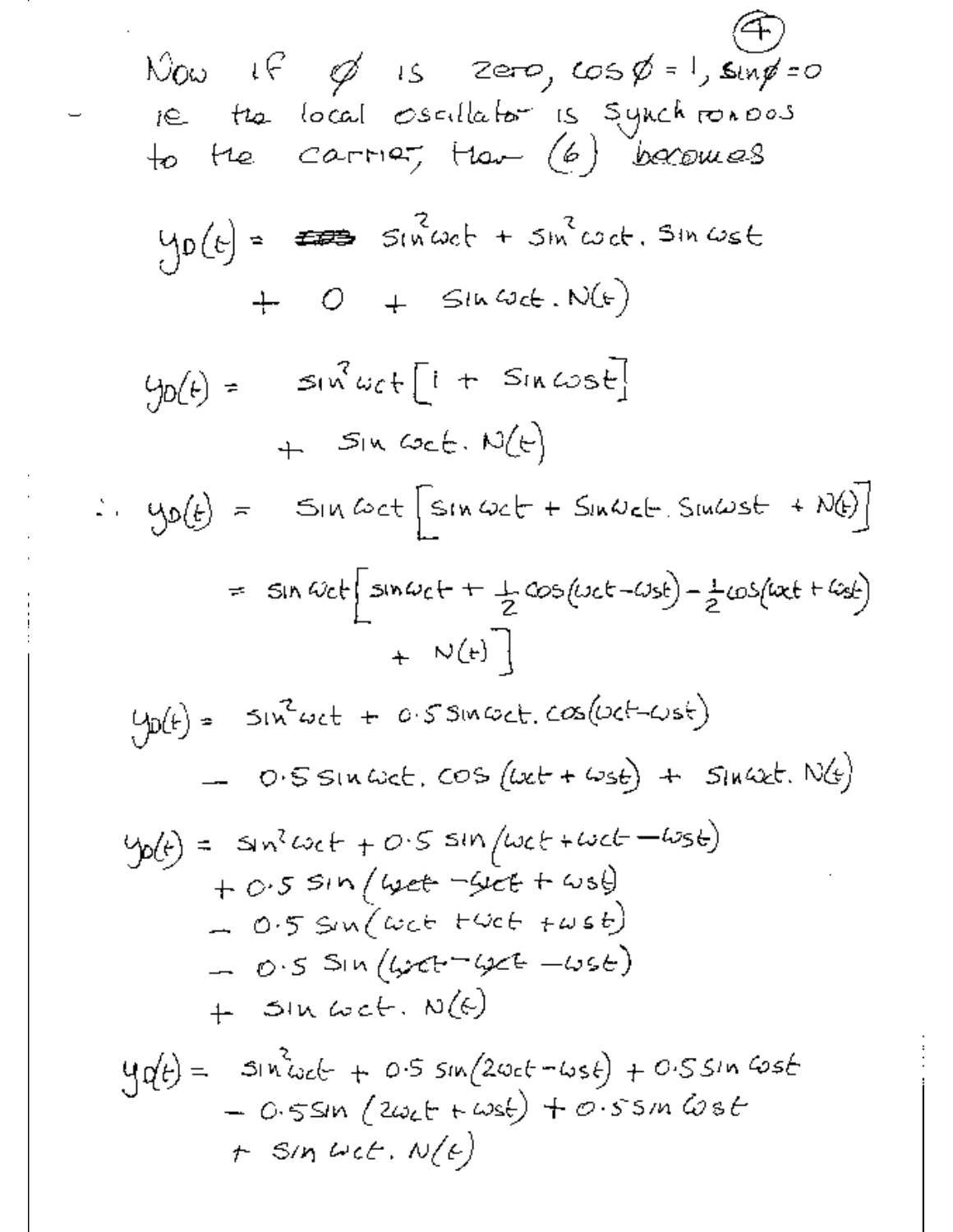Now If 
$$
\emptyset
$$
 is zero,  $\cos \emptyset = 1$ ,  $\sin \emptyset = 0$   
\ni.e.  $\tan \theta \cot \theta$  is 5.5,  $\tan \theta = 0$   
\nto the  $Ca^{-1} + a^{-1}$  (6) becomes  
\n $\tan \theta = 0$   
\n $\tan (\theta) = 1$   
\n $\tan (\theta) = 1$   
\n $\tan (\theta) = 1$   
\n $\tan (\theta) = 1$   
\n $\tan (\theta) = 1$   
\n $\tan (\theta) = 1$   
\n $\tan (\theta) = 1$   
\n $\tan (\theta) = 1$   
\n $\tan (\theta) = 1$   
\n $\tan (\theta) = 1$   
\n $\tan (\theta) = 1$   
\n $\tan (\theta) = 1$   
\n $\tan (\theta) = 1$   
\n $\tan (\theta) = 1$   
\n $\tan (\theta) = 1$   
\n $\tan (\theta) = 1$   
\n $\tan (\theta) = 1$   
\n $\tan (\theta) = 1$   
\n $\tan (\theta) = 1$   
\n $\tan (\theta) = 1$   
\n $\tan (\theta) = 1$   
\n $\tan (\theta) = 1$   
\n $\tan (\theta) = 1$   
\n $\tan (\theta) = 1$   
\n $\tan (\theta) = 1$   
\n $\tan (\theta) = 1$   
\n $\tan (\theta) = 1$   
\n $\tan (\theta) = 1$   
\n $\tan (\theta) = 1$   
\n $\tan (\theta) = 1$   
\n $\tan (\theta) = 1$   
\n $\tan (\theta) = 1$   
\n $\tan (\theta) = 1$   
\n $\tan (\theta) = 1$   
\n $\tan (\theta) = 1$   
\n $\tan (\theta) = 1$   
\n $\tan (\theta) = 1$   
\n $\tan (\theta) = 1$   
\n $\tan (\theta) = 1$   
\n $\tan (\theta) = 1$   
\n $\tan (\theta) =$ 

Ž,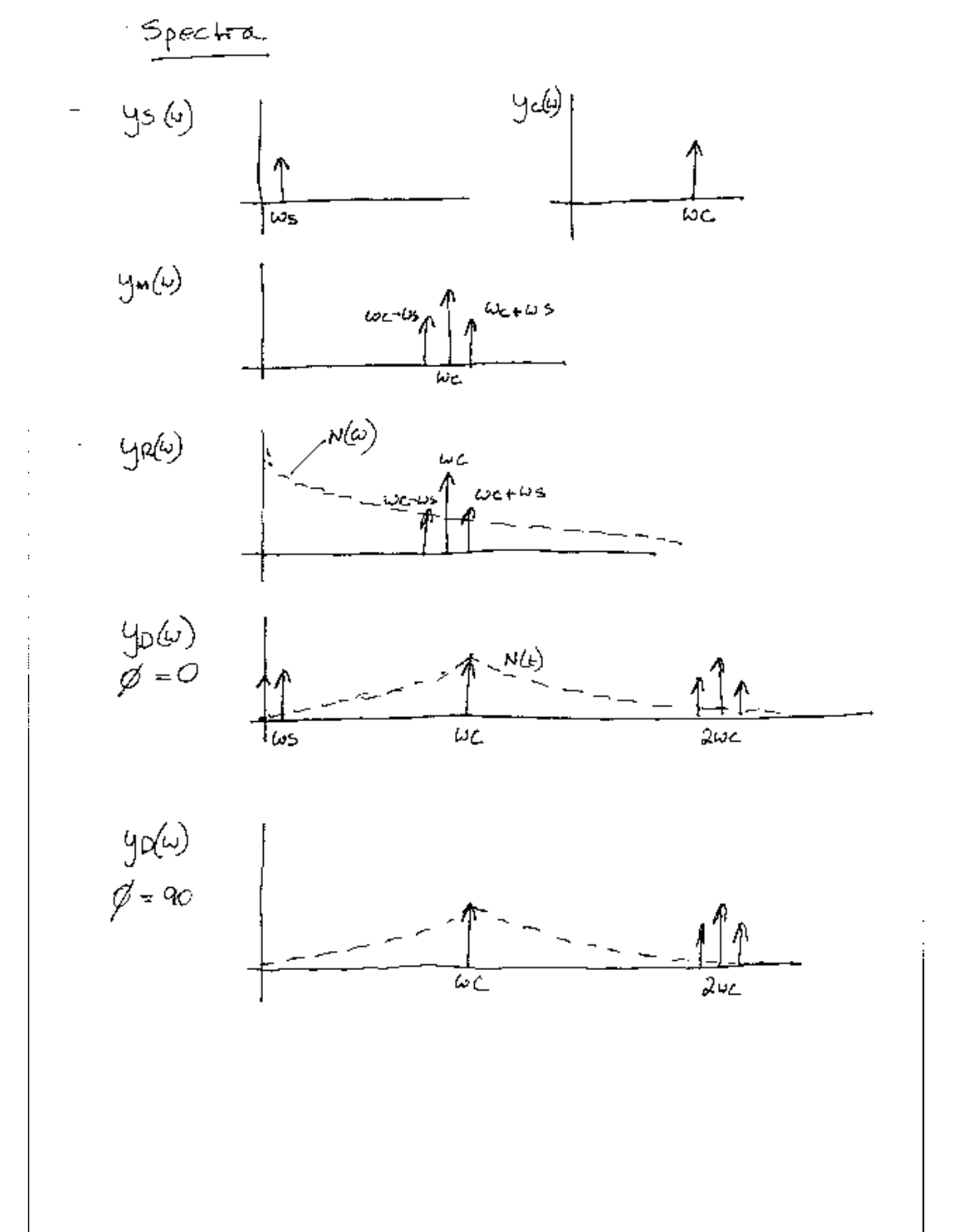